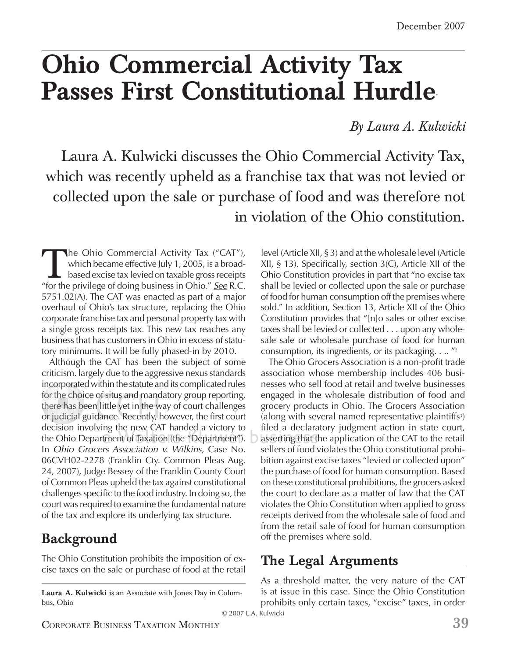## **Ohio Commercial Activity Tax Passes First Constitutional Hurdle**\*

*By Laura A. Kulwicki*

Laura A. Kulwicki discusses the Ohio Commercial Activity Tax, which was recently upheld as a franchise tax that was not levied or collected upon the sale or purchase of food and was therefore not in violation of the Ohio constitution.

The Ohio Commercial Activity Tax ("CAT"),<br>which became effective July 1, 2005, is a broad-<br>based excise tax levied on taxable gross receipts<br>"for the privilege of doing business in Ohio." See R.C. which became effective July 1, 2005, is a broadbased excise tax levied on taxable gross receipts "for the privilege of doing business in Ohio." *See* R.C. 5751.02(A). The CAT was enacted as part of a major overhaul of Ohio's tax structure, replacing the Ohio corporate franchise tax and personal property tax with a single gross receipts tax. This new tax reaches any business that has customers in Ohio in excess of statutory minimums. It will be fully phased-in by 2010.

Although the CAT has been the subject of some criticism. largely due to the aggressive nexus standards incorporated within the statute and its complicated rules ncorporat p for the choice of situs and mandatory group reporting, there has been little yet in the way of court challenges or judicial guidance. Recently, however, the first court decision involving the new CAT handed a victory to the Ohio Department of Taxation (the "Department"). ) asserting that t In *Ohio Grocers Association v. Wilkins,* Case No. 06CVH02-2278 (Franklin Cty. Common Pleas Aug. 24, 2007), Judge Bessey of the Franklin County Court of Common Pleas upheld the tax against constitutional challenges specific to the food industry. In doing so, the court was required to examine the fundamental nature of the tax and explore its underlying tax structure.

#### **Background**

The Ohio Constitution prohibits the imposition of excise taxes on the sale or purchase of food at the retail

**Laura A. Kulwicki** is an Associate with Jones Day in Columbus, Ohio

level (Article XII, § 3) and at the wholesale level (Article XII, § 13). Specifically, section  $3$ (C), Article XII of the Ohio Constitution provides in part that "no excise tax shall be levied or collected upon the sale or purchase of food for human consumption off the premises where sold." In addition, Section 13, Article XII of the Ohio Constitution provides that "[n]o sales or other excise taxes shall be levied or collected . . . upon any wholesale sale or wholesale purchase of food for human consumption, its ingredients, or its packaging.  $\ldots$  "2"

The Ohio Grocers Association is a non-profit trade association whose membership includes 406 businesses who sell food at retail and twelve businesses engaged in the wholesale distribution of food and grocery products in Ohio. The Grocers Association (along with several named representative plaintiffs<sup>3</sup>) filed a declaratory judgment action in state court, asserting that the application of the CAT to the retail sellers of food violates the Ohio constitutional prohibition against excise taxes "levied or collected upon" the purchase of food for human consumption. Based on these constitutional prohibitions, the grocers asked the court to declare as a matter of law that the CAT violates the Ohio Constitution when applied to gross receipts derived from the wholesale sale of food and from the retail sale of food for human consumption off the premises where sold.

#### **The Legal Arguments**

As a threshold matter, the very nature of the CAT is at issue in this case. Since the Ohio Constitution prohibits only certain taxes, "excise" taxes, in order

© 2007 L.A. Kulwicki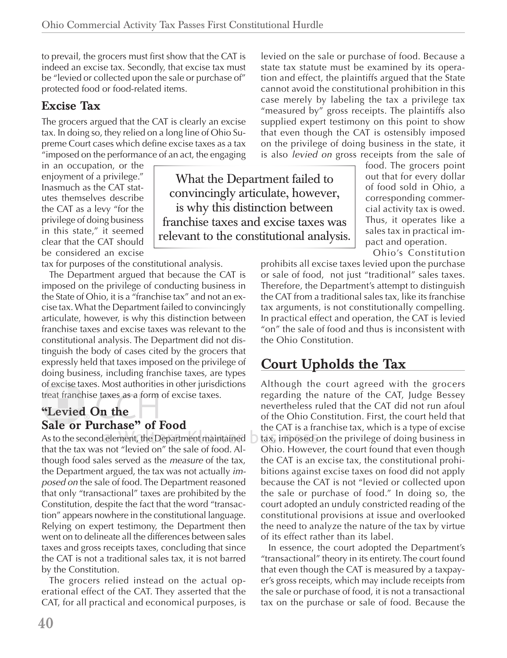What the Department failed to convincingly articulate, however, is why this distinction between franchise taxes and excise taxes was relevant to the constitutional analysis.

to prevail, the grocers must first show that the CAT is indeed an excise tax. Secondly, that excise tax must be "levied or collected upon the sale or purchase of" protected food or food-related items.

#### **Excise Tax**

The grocers argued that the CAT is clearly an excise tax. In doing so, they relied on a long line of Ohio Supreme Court cases which define excise taxes as a tax "imposed on the performance of an act, the engaging

in an occupation, or the enjoyment of a privilege." Inasmuch as the CAT statutes themselves describe the CAT as a levy "for the privilege of doing business in this state," it seemed clear that the CAT should be considered an excise

tax for purposes of the constitutional analysis.

The Department argued that because the CAT is imposed on the privilege of conducting business in the State of Ohio, it is a "franchise tax" and not an excise tax. What the Department failed to convincingly articulate, however, is why this distinction between franchise taxes and excise taxes was relevant to the constitutional analysis. The Department did not distinguish the body of cases cited by the grocers that expressly held that taxes imposed on the privilege of doing business, including franchise taxes, are types of excise taxes. Most authorities in other jurisdictions f t treat franchise taxes as a form of excise taxes.

#### **"Levied On the Sale or Purchase" of Food ale o**

As to the second element, the Department maintained  $\;\supset\;$  tax, i that the tax was not "levied on" the sale of food. Although food sales served as the *measure* of the tax, the Department argued, the tax was not actually *imposed on* the sale of food. The Department reasoned that only "transactional" taxes are prohibited by the Constitution, despite the fact that the word "transaction" appears nowhere in the constitutional language. Relying on expert testimony, the Department then went on to delineate all the differences between sales taxes and gross receipts taxes, concluding that since the CAT is not a traditional sales tax, it is not barred by the Constitution.

The grocers relied instead on the actual operational effect of the CAT. They asserted that the CAT, for all practical and economical purposes, is state tax statute must be examined by its operation and effect, the plaintiffs argued that the State cannot avoid the constitutional prohibition in this case merely by labeling the tax a privilege tax "measured by" gross receipts. The plaintiffs also supplied expert testimony on this point to show that even though the CAT is ostensibly imposed on the privilege of doing business in the state, it is also *levied on* gross receipts from the sale of

levied on the sale or purchase of food. Because a

food. The grocers point out that for every dollar of food sold in Ohio, a corresponding commercial activity tax is owed. Thus, it operates like a sales tax in practical impact and operation.

Ohio's Constitution

prohibits all excise taxes levied upon the purchase or sale of food, not just "traditional" sales taxes. Therefore, the Department's attempt to distinguish the CAT from a traditional sales tax, like its franchise tax arguments, is not constitutionally compelling. In practical effect and operation, the CAT is levied "on" the sale of food and thus is inconsistent with the Ohio Constitution.

### **Court Upholds the Tax**

Although the court agreed with the grocers regarding the nature of the CAT, Judge Bessey nevertheless ruled that the CAT did not run afoul of the Ohio Constitution. First, the court held that the CAT is a franchise tax, which is a type of excise C tax, imposed on the privilege of doing business in mposed o Ohio. However, the court found that even though the CAT is an excise tax, the constitutional prohibitions against excise taxes on food did not apply because the CAT is not "levied or collected upon the sale or purchase of food." In doing so, the court adopted an unduly constricted reading of the constitutional provisions at issue and overlooked the need to analyze the nature of the tax by virtue of its effect rather than its label.

In essence, the court adopted the Department's "transactional" theory in its entirety. The court found that even though the CAT is measured by a taxpayer's gross receipts, which may include receipts from the sale or purchase of food, it is not a transactional tax on the purchase or sale of food. Because the